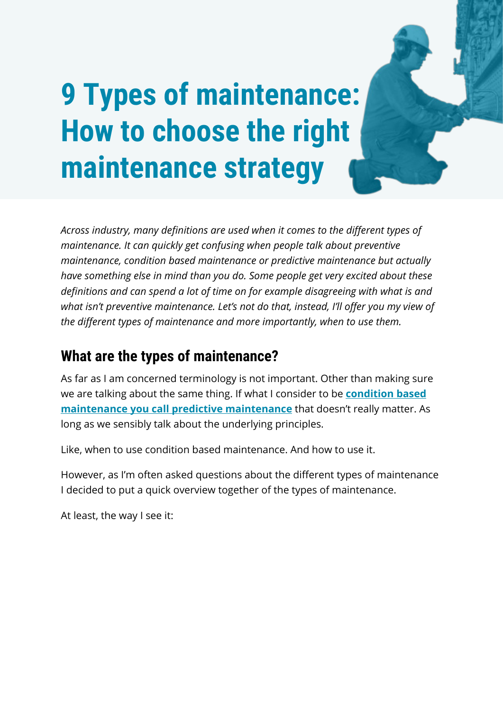# **9 Types of maintenance: How to choose the right maintenance strategy**

*Across industry, many definitions are used when it comes to the different types of maintenance. It can quickly get confusing when people talk about preventive maintenance, condition based maintenance or predictive maintenance but actually have something else in mind than you do. Some people get very excited about these definitions and can spend a lot of time on for example disagreeing with what is and what isn't preventive maintenance. Let's not do that, instead, I'll offer you my view of the different types of maintenance and more importantly, when to use them.*

# **What are the types of maintenance?**

As far as I am concerned terminology is not important. Other than making sure we are talking about the same thing. If what I consider to be **[condition based](https://wordpress-571208-2166123.cloudwaysapps.com/types-of-maintenance/)  [maintenance you call predictive maintenance](https://wordpress-571208-2166123.cloudwaysapps.com/types-of-maintenance/)** that doesn't really matter. As long as we sensibly talk about the underlying principles.

Like, when to use condition based maintenance. And how to use it.

However, as I'm often asked questions about the different types of maintenance I decided to put a quick overview together of the types of maintenance.

At least, the way I see it: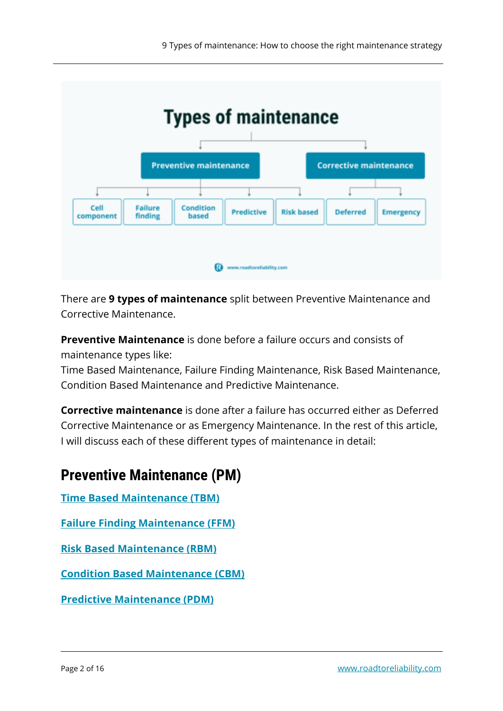

There are **9 types of maintenance** split between Preventive Maintenance and Corrective Maintenance.

**Preventive Maintenance** is done before a failure occurs and consists of maintenance types like:

Time Based Maintenance, Failure Finding Maintenance, Risk Based Maintenance, Condition Based Maintenance and Predictive Maintenance.

**Corrective maintenance** is done after a failure has occurred either as Deferred Corrective Maintenance or as Emergency Maintenance. In the rest of this article, I will discuss each of these different types of maintenance in detail:

# **Preventive Maintenance (PM)**

**[Time Based Maintenance \(TBM\)](#page-3-0)**

**[Failure Finding Maintenance \(FFM\)](#page-4-0)**

**[Risk Based Maintenance \(RBM\)](#page-3-1)**

**[Condition Based Maintenance \(CBM\)](#page-4-1)**

**[Predictive Maintenance \(PDM\)](#page-6-0)**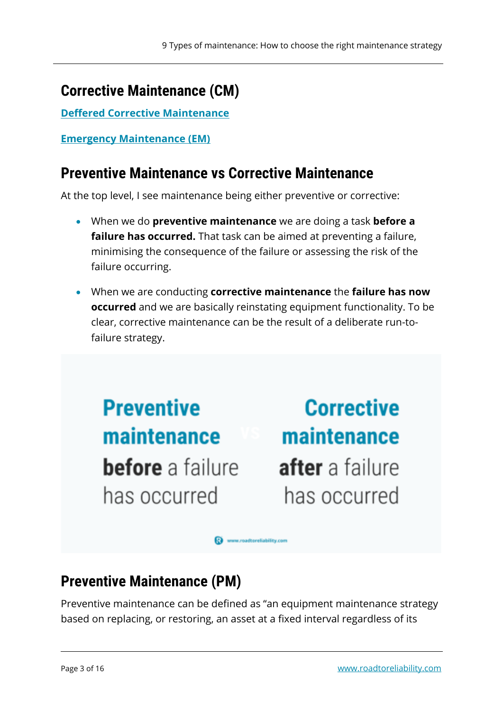# **Corrective Maintenance (CM)**

**[Deffered Corrective Maintenance](#page-8-0)**

**[Emergency Maintenance \(EM\)](#page-9-0)**

#### **Preventive Maintenance vs Corrective Maintenance**

At the top level, I see maintenance being either preventive or corrective:

- When we do **preventive maintenance** we are doing a task **before a failure has occurred.** That task can be aimed at preventing a failure, minimising the consequence of the failure or assessing the risk of the failure occurring.
- When we are conducting **corrective maintenance** the **failure has now occurred** and we are basically reinstating equipment functionality. To be clear, corrective maintenance can be the result of a deliberate run-tofailure strategy.

**Preventive** maintenance **before** a failure has occurred

**Corrective** maintenance after a failure has occurred

**Ca** www.roadtoreliability.com

# **Preventive Maintenance (PM)**

Preventive maintenance can be defined as "an equipment maintenance strategy based on replacing, or restoring, an asset at a fixed interval regardless of its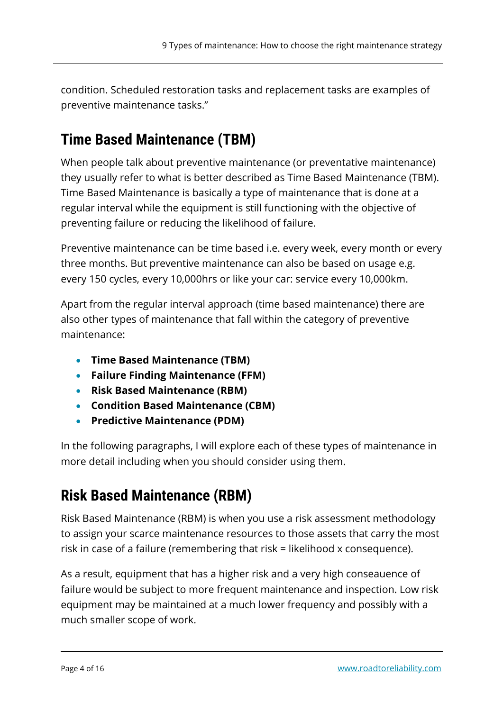condition. Scheduled restoration tasks and replacement tasks are examples of preventive maintenance tasks."

# <span id="page-3-0"></span>**Time Based Maintenance (TBM)**

When people talk about preventive maintenance (or preventative maintenance) they usually refer to what is better described as Time Based Maintenance (TBM). Time Based Maintenance is basically a type of maintenance that is done at a regular interval while the equipment is still functioning with the objective of preventing failure or reducing the likelihood of failure.

Preventive maintenance can be time based i.e. every week, every month or every three months. But preventive maintenance can also be based on usage e.g. every 150 cycles, every 10,000hrs or like your car: service every 10,000km.

Apart from the regular interval approach (time based maintenance) there are also other types of maintenance that fall within the category of preventive maintenance:

- **Time Based Maintenance (TBM)**
- **Failure Finding Maintenance (FFM)**
- **Risk Based Maintenance (RBM)**
- **Condition Based Maintenance (CBM)**
- **Predictive Maintenance (PDM)**

In the following paragraphs, I will explore each of these types of maintenance in more detail including when you should consider using them.

# <span id="page-3-1"></span>**Risk Based Maintenance (RBM)**

Risk Based Maintenance (RBM) is when you use a risk assessment methodology to assign your scarce maintenance resources to those assets that carry the most risk in case of a failure (remembering that risk = likelihood x consequence).

As a result, equipment that has a higher risk and a very high conseauence of failure would be subject to more frequent maintenance and inspection. Low risk equipment may be maintained at a much lower frequency and possibly with a much smaller scope of work.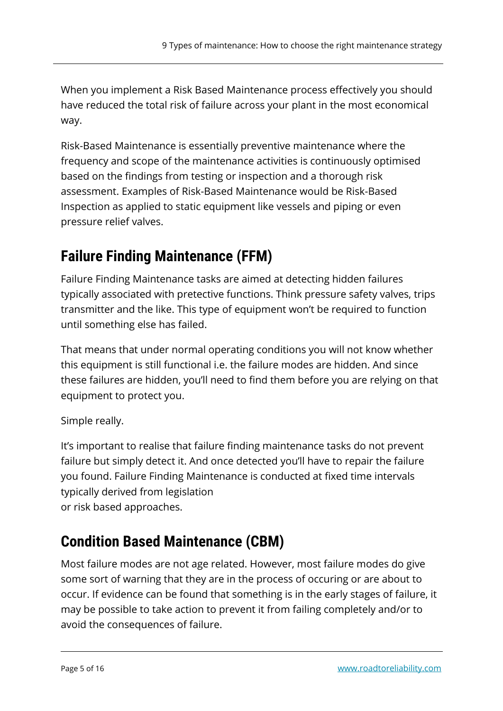When you implement a Risk Based Maintenance process effectively you should have reduced the total risk of failure across your plant in the most economical way.

Risk-Based Maintenance is essentially preventive maintenance where the frequency and scope of the maintenance activities is continuously optimised based on the findings from testing or inspection and a thorough risk assessment. Examples of Risk-Based Maintenance would be Risk-Based Inspection as applied to static equipment like vessels and piping or even pressure relief valves.

# <span id="page-4-0"></span>**Failure Finding Maintenance (FFM)**

Failure Finding Maintenance tasks are aimed at detecting hidden failures typically associated with pretective functions. Think pressure safety valves, trips transmitter and the like. This type of equipment won't be required to function until something else has failed.

That means that under normal operating conditions you will not know whether this equipment is still functional i.e. the failure modes are hidden. And since these failures are hidden, you'll need to find them before you are relying on that equipment to protect you.

#### Simple really.

It's important to realise that failure finding maintenance tasks do not prevent failure but simply detect it. And once detected you'll have to repair the failure you found. Failure Finding Maintenance is conducted at fixed time intervals typically derived from legislation or risk based approaches.

# <span id="page-4-1"></span>**Condition Based Maintenance (CBM)**

Most failure modes are not age related. However, most failure modes do give some sort of warning that they are in the process of occuring or are about to occur. If evidence can be found that something is in the early stages of failure, it may be possible to take action to prevent it from failing completely and/or to avoid the consequences of failure.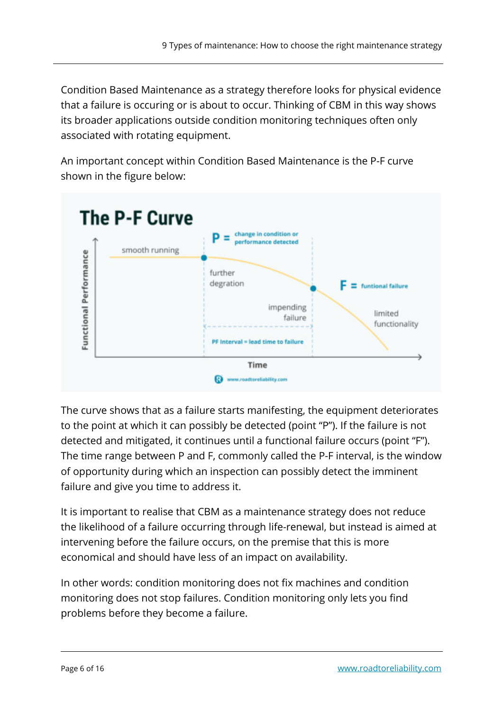Condition Based Maintenance as a strategy therefore looks for physical evidence that a failure is occuring or is about to occur. Thinking of CBM in this way shows its broader applications outside condition monitoring techniques often only associated with rotating equipment.

An important concept within Condition Based Maintenance is the P-F curve shown in the figure below:



The curve shows that as a failure starts manifesting, the equipment deteriorates to the point at which it can possibly be detected (point "P"). If the failure is not detected and mitigated, it continues until a functional failure occurs (point "F"). The time range between P and F, commonly called the P-F interval, is the window of opportunity during which an inspection can possibly detect the imminent failure and give you time to address it.

It is important to realise that CBM as a maintenance strategy does not reduce the likelihood of a failure occurring through life-renewal, but instead is aimed at intervening before the failure occurs, on the premise that this is more economical and should have less of an impact on availability.

In other words: condition monitoring does not fix machines and condition monitoring does not stop failures. Condition monitoring only lets you find problems before they become a failure.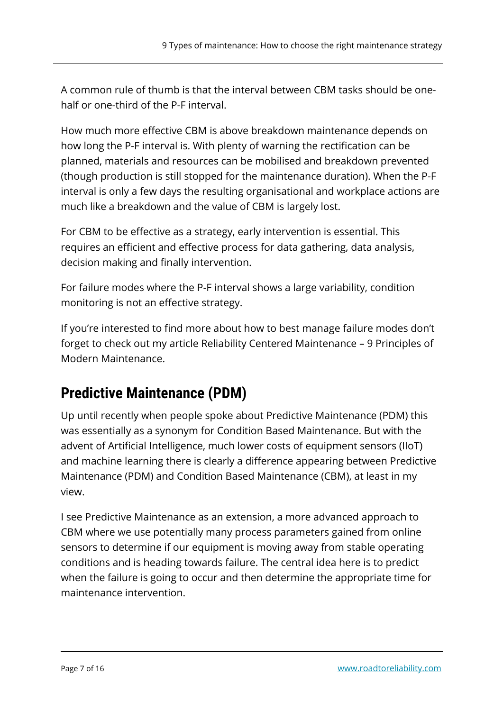A common rule of thumb is that the interval between CBM tasks should be onehalf or one-third of the P-F interval.

How much more effective CBM is above breakdown maintenance depends on how long the P-F interval is. With plenty of warning the rectification can be planned, materials and resources can be mobilised and breakdown prevented (though production is still stopped for the maintenance duration). When the P-F interval is only a few days the resulting organisational and workplace actions are much like a breakdown and the value of CBM is largely lost.

For CBM to be effective as a strategy, early intervention is essential. This requires an efficient and effective process for data gathering, data analysis, decision making and finally intervention.

For failure modes where the P-F interval shows a large variability, condition monitoring is not an effective strategy.

If you're interested to find more about how to best manage failure modes don't forget to check out my article Reliability Centered Maintenance – 9 Principles of Modern Maintenance.

# <span id="page-6-0"></span>**Predictive Maintenance (PDM)**

Up until recently when people spoke about Predictive Maintenance (PDM) this was essentially as a synonym for Condition Based Maintenance. But with the advent of Artificial Intelligence, much lower costs of equipment sensors (IIoT) and machine learning there is clearly a difference appearing between Predictive Maintenance (PDM) and Condition Based Maintenance (CBM), at least in my view.

I see Predictive Maintenance as an extension, a more advanced approach to CBM where we use potentially many process parameters gained from online sensors to determine if our equipment is moving away from stable operating conditions and is heading towards failure. The central idea here is to predict when the failure is going to occur and then determine the appropriate time for maintenance intervention.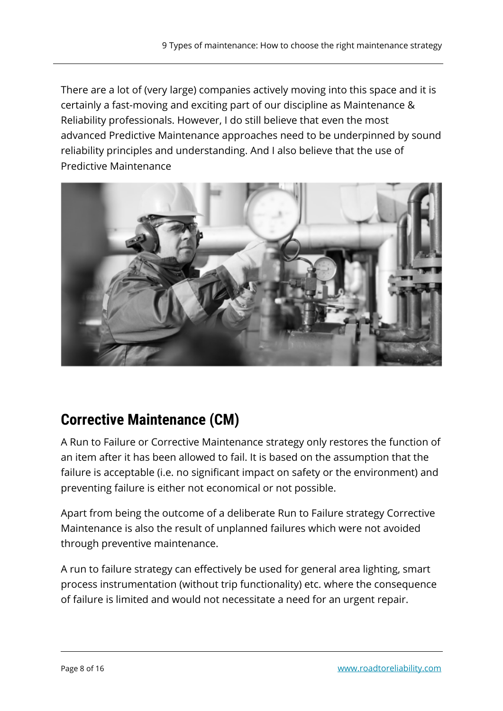There are a lot of (very large) companies actively moving into this space and it is certainly a fast-moving and exciting part of our discipline as Maintenance & Reliability professionals. However, I do still believe that even the most advanced Predictive Maintenance approaches need to be underpinned by sound reliability principles and understanding. And I also believe that the use of Predictive Maintenance



# **Corrective Maintenance (CM)**

A Run to Failure or Corrective Maintenance strategy only restores the function of an item after it has been allowed to fail. It is based on the assumption that the failure is acceptable (i.e. no significant impact on safety or the environment) and preventing failure is either not economical or not possible.

Apart from being the outcome of a deliberate Run to Failure strategy Corrective Maintenance is also the result of unplanned failures which were not avoided through preventive maintenance.

A run to failure strategy can effectively be used for general area lighting, smart process instrumentation (without trip functionality) etc. where the consequence of failure is limited and would not necessitate a need for an urgent repair.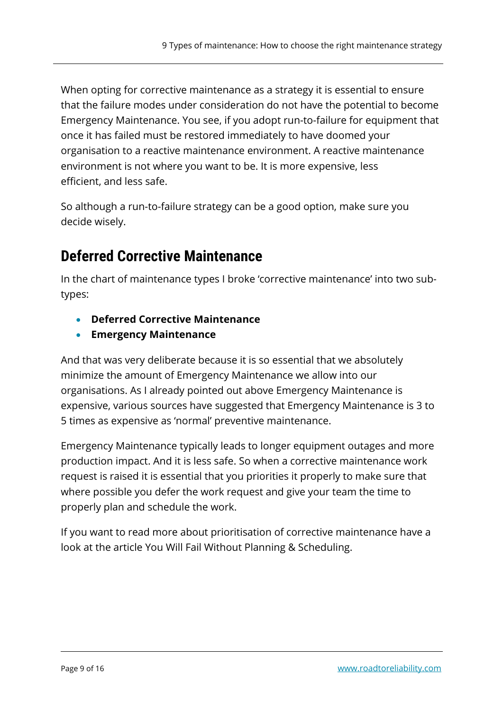When opting for corrective maintenance as a strategy it is essential to ensure that the failure modes under consideration do not have the potential to become Emergency Maintenance. You see, if you adopt run-to-failure for equipment that once it has failed must be restored immediately to have doomed your organisation to a reactive maintenance environment. A reactive maintenance environment is not where you want to be. It is more expensive, less efficient, and less safe.

So although a run-to-failure strategy can be a good option, make sure you decide wisely.

# <span id="page-8-0"></span>**Deferred Corrective Maintenance**

In the chart of maintenance types I broke 'corrective maintenance' into two subtypes:

- **Deferred Corrective Maintenance**
- **Emergency Maintenance**

And that was very deliberate because it is so essential that we absolutely minimize the amount of Emergency Maintenance we allow into our organisations. As I already pointed out above Emergency Maintenance is expensive, various sources have suggested that Emergency Maintenance is 3 to 5 times as expensive as 'normal' preventive maintenance.

Emergency Maintenance typically leads to longer equipment outages and more production impact. And it is less safe. So when a corrective maintenance work request is raised it is essential that you priorities it properly to make sure that where possible you defer the work request and give your team the time to properly plan and schedule the work.

If you want to read more about prioritisation of corrective maintenance have a look at the article You Will Fail Without Planning & Scheduling.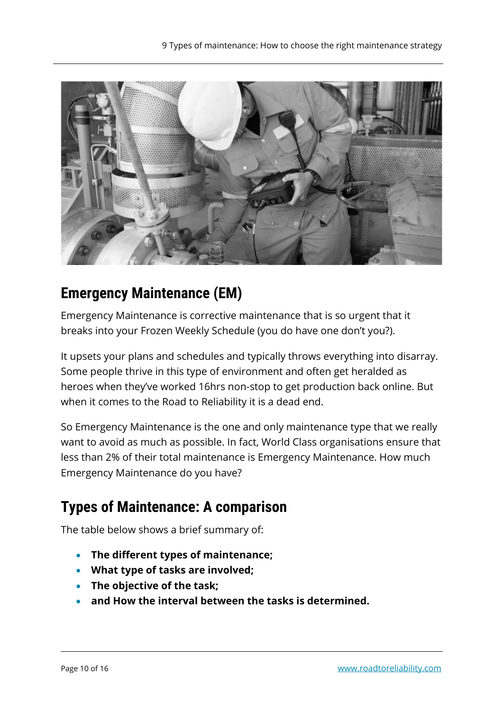

# <span id="page-9-0"></span>**Emergency Maintenance (EM)**

Emergency Maintenance is corrective maintenance that is so urgent that it breaks into your Frozen Weekly Schedule (you do have one don't you?).

It upsets your plans and schedules and typically throws everything into disarray. Some people thrive in this type of environment and often get heralded as heroes when they've worked 16hrs non-stop to get production back online. But when it comes to the Road to Reliability it is a dead end.

So Emergency Maintenance is the one and only maintenance type that we really want to avoid as much as possible. In fact, World Class organisations ensure that less than 2% of their total maintenance is Emergency Maintenance. How much Emergency Maintenance do you have?

# **Types of Maintenance: A comparison**

The table below shows a brief summary of:

- **The different types of maintenance;**
- **What type of tasks are involved;**
- **The objective of the task;**
- **and How the interval between the tasks is determined.**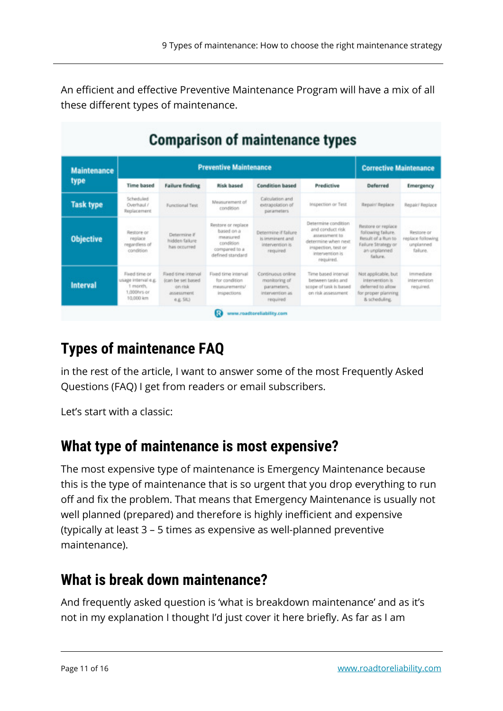An efficient and effective Preventive Maintenance Program will have a mix of all these different types of maintenance.

| <b>Comparison of maintenance types</b> |                                                     |                                                |                                                                                                       |                                                                        |                                                                                                                            |                                                                                                                            |                                                          |
|----------------------------------------|-----------------------------------------------------|------------------------------------------------|-------------------------------------------------------------------------------------------------------|------------------------------------------------------------------------|----------------------------------------------------------------------------------------------------------------------------|----------------------------------------------------------------------------------------------------------------------------|----------------------------------------------------------|
| aintenance<br>Dе                       | <b>Preventive Maintenance</b>                       |                                                |                                                                                                       |                                                                        |                                                                                                                            | <b>Corrective Maintenance</b>                                                                                              |                                                          |
|                                        | <b>Time based</b>                                   | <b>Failure finding</b>                         | <b>Risk based</b>                                                                                     | <b>Condition based</b>                                                 | Predictive                                                                                                                 | Deferred                                                                                                                   | Emergency                                                |
| sk type                                | Scheduled<br>Overhaul /<br>Replacement              | Functional Test                                | Measurement of<br>condition                                                                           | Calculation and<br>extrapolation of<br>parameters                      | Inspection or Test.                                                                                                        | <b>Repair/Replace</b>                                                                                                      | Repair/ Replace                                          |
| <b>pjective</b>                        | Restore or<br>replace<br>regardless of<br>condition | Determine if<br>hidden failure<br>has occurred | Restore or replace<br>based on a<br><b>measured</b><br>condition<br>compared to a<br>defined standard | Determine if failure<br>Is imminent and<br>intervention is<br>required | Determine condition<br>and conduct risk<br>attentured to<br>determine when next.<br>inspection, test or<br>intervention is | Restore or replace<br>following failure.<br>Result of a Run to<br>Failure Strategy or<br>an unplanned<br><b>Radio cray</b> | Restore or<br>replace following<br>unplanned<br>failure. |

Flood time interval

for condition

measurements/

inspections

Continuous online

monitoring of

parameters,

intervention as

required

# **Types of maintenance FAQ**

Fixed time or

1 month.

1,000 hrs or

10.000 km

Fixed time interval

on risk

assessment

ex Still

lage interval e.g. (can be set based

in the rest of the article, I want to answer some of the most Frequently Asked Questions (FAQ) I get from readers or email subscribers.

Www.roadtoreliability.com

Let's start with a classic:

ty

т

n

**Interval** 

# **What type of maintenance is most expensive?**

The most expensive type of maintenance is Emergency Maintenance because this is the type of maintenance that is so urgent that you drop everything to run off and fix the problem. That means that Emergency Maintenance is usually not well planned (prepared) and therefore is highly inefficient and expensive (typically at least 3 – 5 times as expensive as well-planned preventive maintenance).

# **What is break down maintenance?**

And frequently asked question is 'what is breakdown maintenance' and as it's not in my explanation I thought I'd just cover it here briefly. As far as I am

immediate

intervention

required.

failure

Not applicable, but

intervention is

deferred to allow

for proper planning

& scheduling

required.

Time based interval

between tasks and

scope of task is based

on risk assessment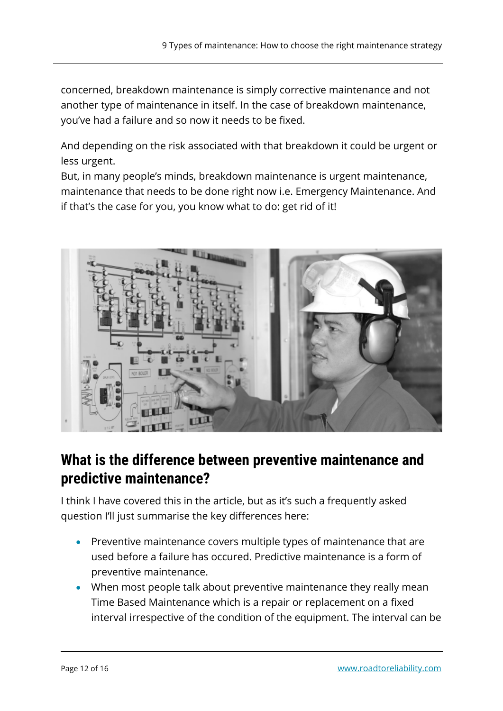concerned, breakdown maintenance is simply corrective maintenance and not another type of maintenance in itself. In the case of breakdown maintenance, you've had a failure and so now it needs to be fixed.

And depending on the risk associated with that breakdown it could be urgent or less urgent.

But, in many people's minds, breakdown maintenance is urgent maintenance, maintenance that needs to be done right now i.e. Emergency Maintenance. And if that's the case for you, you know what to do: get rid of it!



# **What is the difference between preventive maintenance and predictive maintenance?**

I think I have covered this in the article, but as it's such a frequently asked question I'll just summarise the key differences here:

- Preventive maintenance covers multiple types of maintenance that are used before a failure has occured. Predictive maintenance is a form of preventive maintenance.
- When most people talk about preventive maintenance they really mean Time Based Maintenance which is a repair or replacement on a fixed interval irrespective of the condition of the equipment. The interval can be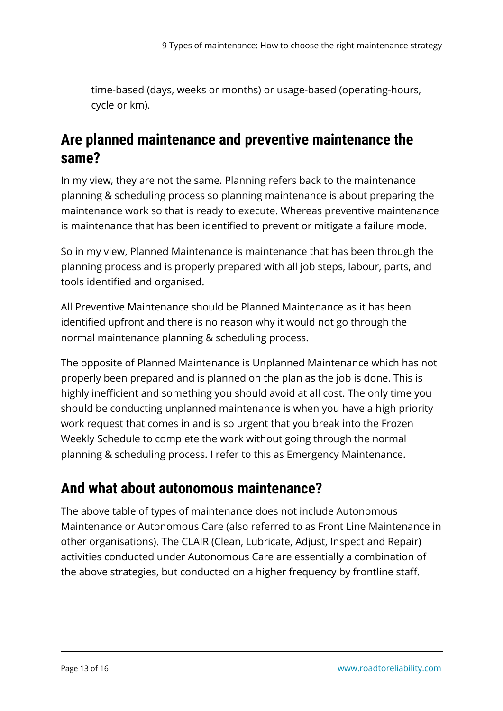time-based (days, weeks or months) or usage-based (operating-hours, cycle or km).

#### **Are planned maintenance and preventive maintenance the same?**

In my view, they are not the same. Planning refers back to the maintenance planning & scheduling process so planning maintenance is about preparing the maintenance work so that is ready to execute. Whereas preventive maintenance is maintenance that has been identified to prevent or mitigate a failure mode.

So in my view, Planned Maintenance is maintenance that has been through the planning process and is properly prepared with all job steps, labour, parts, and tools identified and organised.

All Preventive Maintenance should be Planned Maintenance as it has been identified upfront and there is no reason why it would not go through the normal maintenance planning & scheduling process.

The opposite of Planned Maintenance is Unplanned Maintenance which has not properly been prepared and is planned on the plan as the job is done. This is highly inefficient and something you should avoid at all cost. The only time you should be conducting unplanned maintenance is when you have a high priority work request that comes in and is so urgent that you break into the Frozen Weekly Schedule to complete the work without going through the normal planning & scheduling process. I refer to this as Emergency Maintenance.

# **And what about autonomous maintenance?**

The above table of types of maintenance does not include Autonomous Maintenance or Autonomous Care (also referred to as Front Line Maintenance in other organisations). The CLAIR (Clean, Lubricate, Adjust, Inspect and Repair) activities conducted under Autonomous Care are essentially a combination of the above strategies, but conducted on a higher frequency by frontline staff.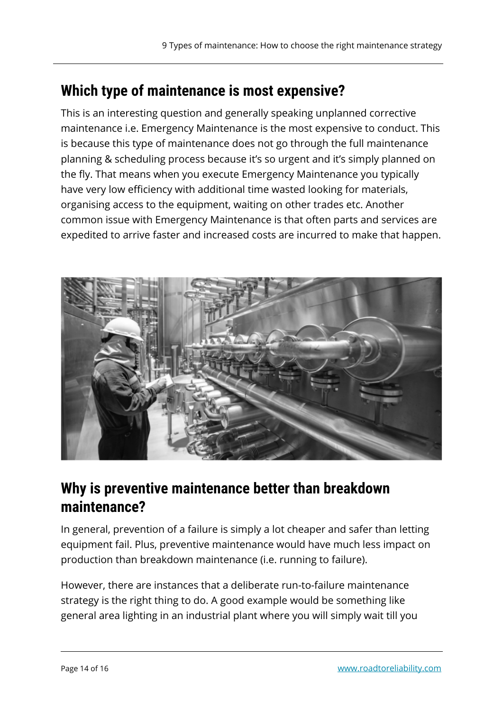# **Which type of maintenance is most expensive?**

This is an interesting question and generally speaking unplanned corrective maintenance i.e. Emergency Maintenance is the most expensive to conduct. This is because this type of maintenance does not go through the full maintenance planning & scheduling process because it's so urgent and it's simply planned on the fly. That means when you execute Emergency Maintenance you typically have very low efficiency with additional time wasted looking for materials, organising access to the equipment, waiting on other trades etc. Another common issue with Emergency Maintenance is that often parts and services are expedited to arrive faster and increased costs are incurred to make that happen.



# **Why is preventive maintenance better than breakdown maintenance?**

In general, prevention of a failure is simply a lot cheaper and safer than letting equipment fail. Plus, preventive maintenance would have much less impact on production than breakdown maintenance (i.e. running to failure).

However, there are instances that a deliberate run-to-failure maintenance strategy is the right thing to do. A good example would be something like general area lighting in an industrial plant where you will simply wait till you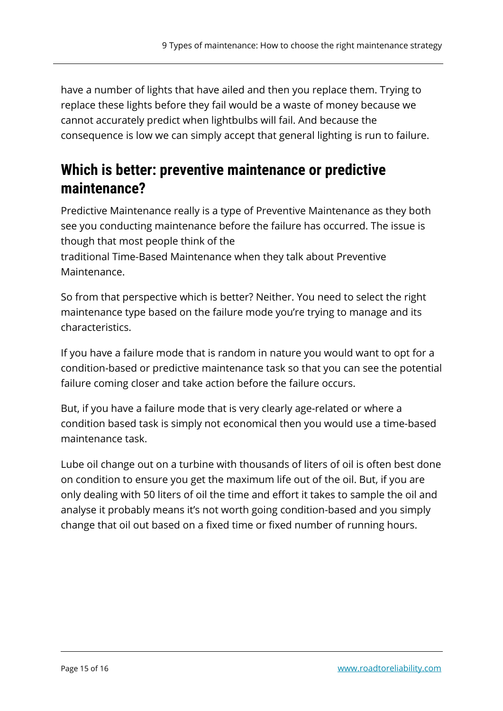have a number of lights that have ailed and then you replace them. Trying to replace these lights before they fail would be a waste of money because we cannot accurately predict when lightbulbs will fail. And because the consequence is low we can simply accept that general lighting is run to failure.

# **Which is better: preventive maintenance or predictive maintenance?**

Predictive Maintenance really is a type of Preventive Maintenance as they both see you conducting maintenance before the failure has occurred. The issue is though that most people think of the

traditional Time-Based Maintenance when they talk about Preventive Maintenance.

So from that perspective which is better? Neither. You need to select the right maintenance type based on the failure mode you're trying to manage and its characteristics.

If you have a failure mode that is random in nature you would want to opt for a condition-based or predictive maintenance task so that you can see the potential failure coming closer and take action before the failure occurs.

But, if you have a failure mode that is very clearly age-related or where a condition based task is simply not economical then you would use a time-based maintenance task.

Lube oil change out on a turbine with thousands of liters of oil is often best done on condition to ensure you get the maximum life out of the oil. But, if you are only dealing with 50 liters of oil the time and effort it takes to sample the oil and analyse it probably means it's not worth going condition-based and you simply change that oil out based on a fixed time or fixed number of running hours.